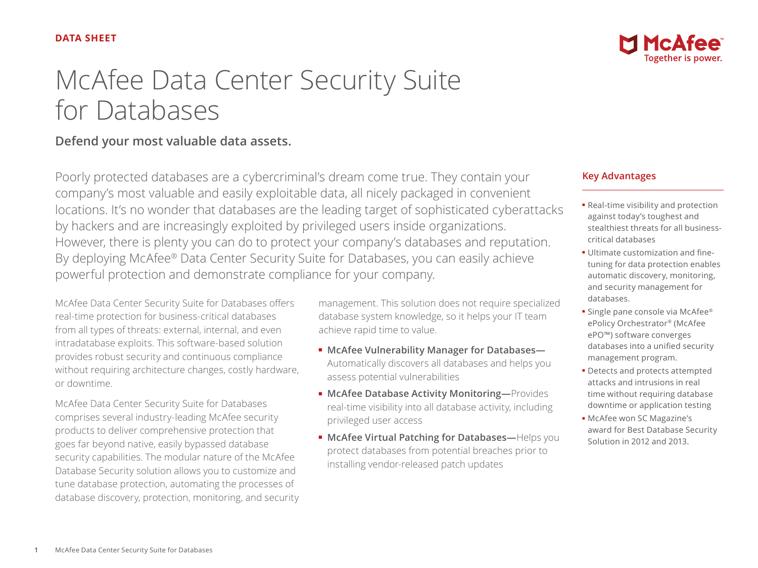

# **Defend your most valuable data assets.**

Poorly protected databases are a cybercriminal's dream come true. They contain your company's most valuable and easily exploitable data, all nicely packaged in convenient locations. It's no wonder that databases are the leading target of sophisticated cyberattacks by hackers and are increasingly exploited by privileged users inside organizations. However, there is plenty you can do to protect your company's databases and reputation. By deploying McAfee® Data Center Security Suite for Databases, you can easily achieve powerful protection and demonstrate compliance for your company.

McAfee Data Center Security Suite for Databases offers real-time protection for business-critical databases from all types of threats: external, internal, and even intradatabase exploits. This software-based solution provides robust security and continuous compliance without requiring architecture changes, costly hardware, or downtime.

McAfee Data Center Security Suite for Databases comprises several industry-leading McAfee security products to deliver comprehensive protection that goes far beyond native, easily bypassed database security capabilities. The modular nature of the McAfee Database Security solution allows you to customize and tune database protection, automating the processes of database discovery, protection, monitoring, and security management. This solution does not require specialized database system knowledge, so it helps your IT team achieve rapid time to value.

- **McAfee Vulnerability Manager for Databases—** Automatically discovers all databases and helps you assess potential vulnerabilities
- **McAfee Database Activity Monitoring—**Provides real-time visibility into all database activity, including privileged user access
- **McAfee Virtual Patching for Databases—**Helps you protect databases from potential breaches prior to installing vendor-released patch updates

### **Key Advantages**

- Real-time visibility and protection against today's toughest and stealthiest threats for all businesscritical databases
- Ultimate customization and finetuning for data protection enables automatic discovery, monitoring, and security management for databases.
- Single pane console via McAfee® ePolicy Orchestrator® (McAfee ePO™) software converges databases into a unified security management program.
- Detects and protects attempted attacks and intrusions in real time without requiring database downtime or application testing
- McAfee won SC Magazine's award for Best Database Security Solution in 2012 and 2013.

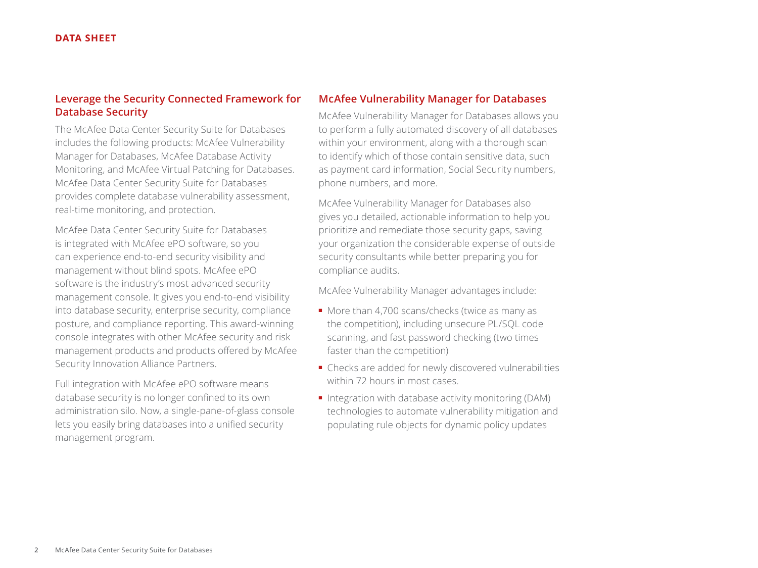## **Leverage the Security Connected Framework for Database Security**

The McAfee Data Center Security Suite for Databases includes the following products: McAfee Vulnerability Manager for Databases, McAfee Database Activity Monitoring, and McAfee Virtual Patching for Databases. McAfee Data Center Security Suite for Databases provides complete database vulnerability assessment, real-time monitoring, and protection.

McAfee Data Center Security Suite for Databases is integrated with McAfee ePO software, so you can experience end-to-end security visibility and management without blind spots. McAfee ePO software is the industry's most advanced security management console. It gives you end-to-end visibility into database security, enterprise security, compliance posture, and compliance reporting. This award-winning console integrates with other McAfee security and risk management products and products offered by McAfee Security Innovation Alliance Partners.

Full integration with McAfee ePO software means database security is no longer confined to its own administration silo. Now, a single-pane-of-glass console lets you easily bring databases into a unified security management program.

#### **McAfee Vulnerability Manager for Databases**

McAfee Vulnerability Manager for Databases allows you to perform a fully automated discovery of all databases within your environment, along with a thorough scan to identify which of those contain sensitive data, such as payment card information, Social Security numbers, phone numbers, and more.

McAfee Vulnerability Manager for Databases also gives you detailed, actionable information to help you prioritize and remediate those security gaps, saving your organization the considerable expense of outside security consultants while better preparing you for compliance audits.

McAfee Vulnerability Manager advantages include:

- More than 4,700 scans/checks (twice as many as the competition), including unsecure PL/SQL code scanning, and fast password checking (two times faster than the competition)
- Checks are added for newly discovered vulnerabilities within 72 hours in most cases.
- Integration with database activity monitoring (DAM) technologies to automate vulnerability mitigation and populating rule objects for dynamic policy updates